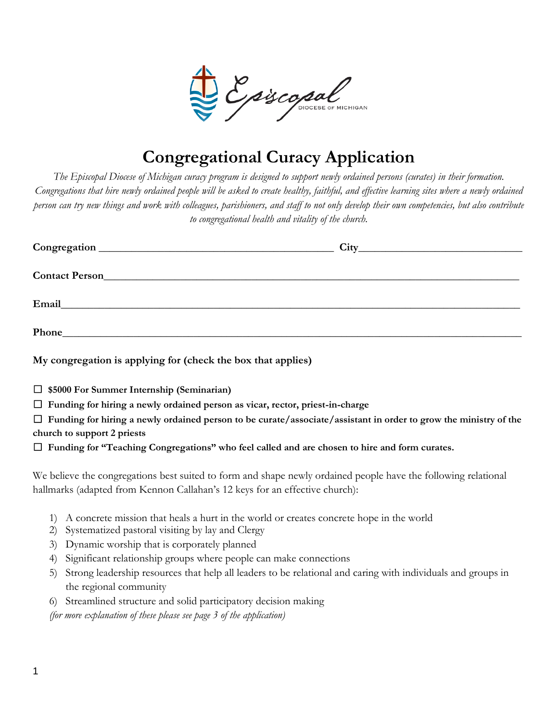

# **Congregational Curacy Application**

*The Episcopal Diocese of Michigan curacy program is designed to support newly ordained persons (curates) in their formation. Congregations that hire newly ordained people will be asked to create healthy, faithful, and effective learning sites where a newly ordained person can try new things and work with colleagues, parishioners, and staff to not only develop their own competencies, but also contribute to congregational health and vitality of the church.*

| Phone has a series of the series of the series of the series of the series of the series of the series of the series of the series of the series of the series of the series of the series of the series of the series of the |  |
|-------------------------------------------------------------------------------------------------------------------------------------------------------------------------------------------------------------------------------|--|
|                                                                                                                                                                                                                               |  |

**My congregation is applying for (check the box that applies)**

☐ **\$5000 For Summer Internship (Seminarian)**

☐ **Funding for hiring a newly ordained person as vicar, rector, priest-in-charge** 

☐ **Funding for hiring a newly ordained person to be curate/associate/assistant in order to grow the ministry of the church to support 2 priests**

☐ **Funding for "Teaching Congregations" who feel called and are chosen to hire and form curates.** 

We believe the congregations best suited to form and shape newly ordained people have the following relational hallmarks (adapted from Kennon Callahan's 12 keys for an effective church):

- 1) A concrete mission that heals a hurt in the world or creates concrete hope in the world
- 2) Systematized pastoral visiting by lay and Clergy
- 3) Dynamic worship that is corporately planned
- 4) Significant relationship groups where people can make connections
- 5) Strong leadership resources that help all leaders to be relational and caring with individuals and groups in the regional community
- 6) Streamlined structure and solid participatory decision making

*(for more explanation of these please see page 3 of the application)*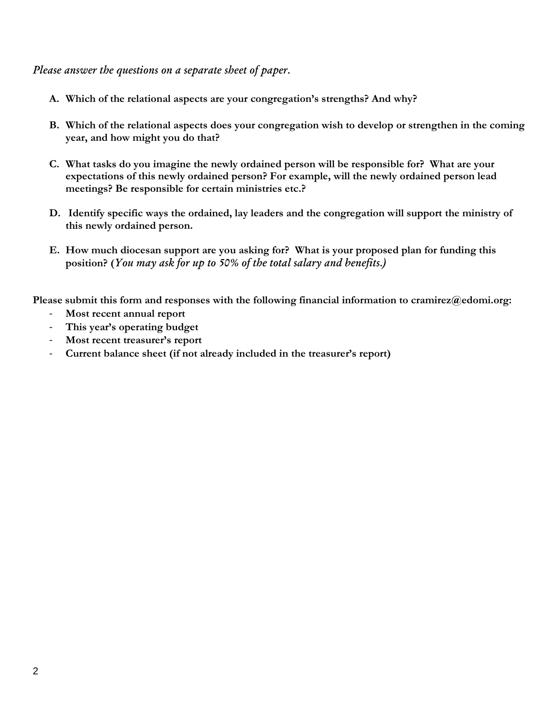*Please answer the questions on a separate sheet of paper.*

- **A. Which of the relational aspects are your congregation's strengths? And why?**
- **B. Which of the relational aspects does your congregation wish to develop or strengthen in the coming year, and how might you do that?**
- **C. What tasks do you imagine the newly ordained person will be responsible for? What are your expectations of this newly ordained person? For example, will the newly ordained person lead meetings? Be responsible for certain ministries etc.?**
- **D. Identify specific ways the ordained, lay leaders and the congregation will support the ministry of this newly ordained person.**
- **E. How much diocesan support are you asking for? What is your proposed plan for funding this position? (***You may ask for up to 50% of the total salary and benefits.)*

**Please submit this form and responses with the following financial information to cramirez@edomi.org:** 

- **Most recent annual report**
- **This year's operating budget**
- **Most recent treasurer's report**
- **Current balance sheet (if not already included in the treasurer's report)**